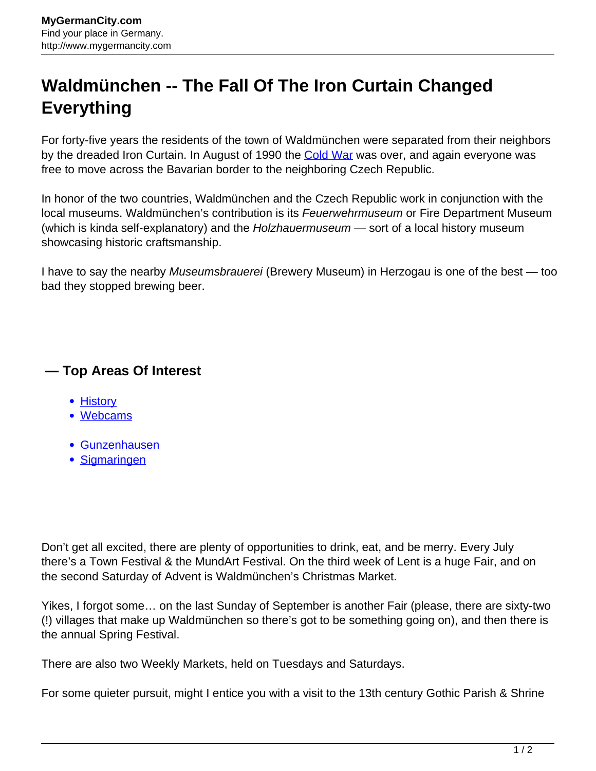## **Waldmünchen -- The Fall Of The Iron Curtain Changed Everything**

For forty-five years the residents of the town of Waldmünchen were separated from their neighbors by the dreaded Iron Curtain. In August of 1990 the [Cold War](http://www.mygermancity.com/cold-war) was over, and again everyone was free to move across the Bavarian border to the neighboring Czech Republic.

In honor of the two countries, Waldmünchen and the Czech Republic work in conjunction with the local museums. Waldmünchen's contribution is its Feuerwehrmuseum or Fire Department Museum (which is kinda self-explanatory) and the Holzhauermuseum - sort of a local history museum showcasing historic craftsmanship.

I have to say the nearby Museumsbrauerei (Brewery Museum) in Herzogau is one of the best — too bad they stopped brewing beer.

## **— Top Areas Of Interest**

- **[History](http://www.mygermancity.com/leipzig-history)**
- [Webcams](http://www.mygermancity.com/neustadt-holstein-webcams)
- [Gunzenhausen](http://www.mygermancity.com/gunzenhausen)
- [Sigmaringen](http://www.mygermancity.com/sigmaringen)

Don't get all excited, there are plenty of opportunities to drink, eat, and be merry. Every July there's a Town Festival & the MundArt Festival. On the third week of Lent is a huge Fair, and on the second Saturday of Advent is Waldmünchen's Christmas Market.

Yikes, I forgot some… on the last Sunday of September is another Fair (please, there are sixty-two (!) villages that make up Waldmünchen so there's got to be something going on), and then there is the annual Spring Festival.

There are also two Weekly Markets, held on Tuesdays and Saturdays.

For some quieter pursuit, might I entice you with a visit to the 13th century Gothic Parish & Shrine